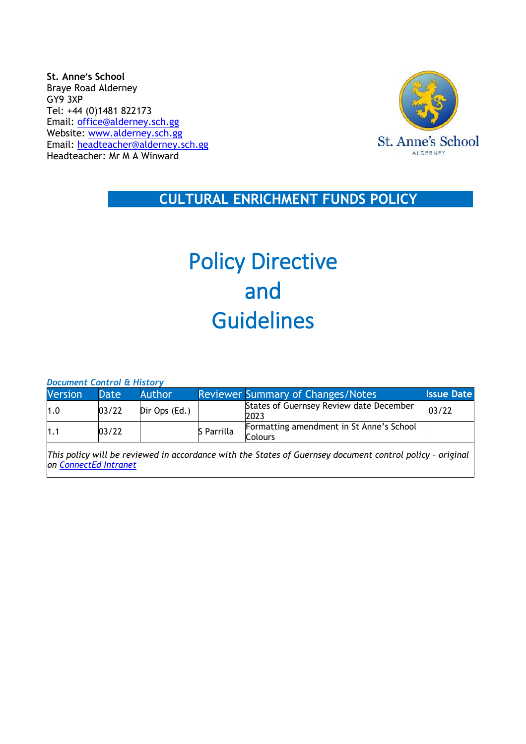**St. Anne's School** Braye Road Alderney GY9 3XP Tel: +44 (0)1481 822173 Email: [office@alderney.sch.gg](mailto:office@alderney.sch.gg) Website: [www.alderney.sch.gg](http://www.alderney.sch.gg/) Email: [headteacher@alderney.sch.gg](mailto:headteacher@alderney.sch.gg) Headteacher: Mr M A Winward



 **CULTURAL ENRICHMENT FUNDS POLICY** 

# Policy Directive and Guidelines

*Document Control & History*

| <b>Version</b> | Date  | Author        |            | <b>Reviewer Summary of Changes/Notes</b>                                                               | <b>Issue Date</b> |
|----------------|-------|---------------|------------|--------------------------------------------------------------------------------------------------------|-------------------|
| 1.0            | 03/22 | Dir Ops (Ed.) |            | States of Guernsey Review date December<br>2023                                                        | 03/22             |
| 1.1            | 03/22 |               | S Parrilla | Formatting amendment in St Anne's School<br>Colours                                                    |                   |
|                |       |               |            | This policy will be reviewed in accordance with the States of Guernsey decument control policy estimal |                   |

*This policy will be reviewed in accordance with the States of Guernsey document control policy – original on [ConnectEd Intranet](http://bridge.sogcs.int.gov.gg/teamsite/education/policies/Health%20%20SafetyBuildings/Forms/AllItems.aspx)*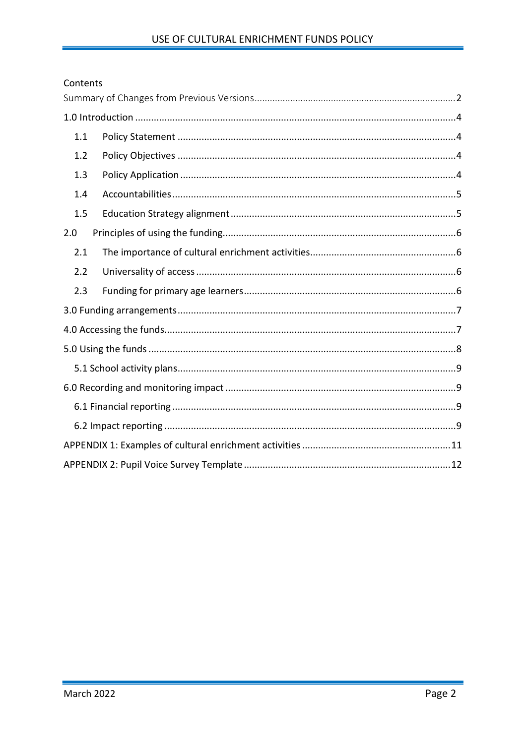### <span id="page-1-0"></span>Contents

| 1.1 |  |  |  |  |  |
|-----|--|--|--|--|--|
| 1.2 |  |  |  |  |  |
| 1.3 |  |  |  |  |  |
| 1.4 |  |  |  |  |  |
| 1.5 |  |  |  |  |  |
| 2.0 |  |  |  |  |  |
| 2.1 |  |  |  |  |  |
| 2.2 |  |  |  |  |  |
| 2.3 |  |  |  |  |  |
|     |  |  |  |  |  |
|     |  |  |  |  |  |
|     |  |  |  |  |  |
|     |  |  |  |  |  |
|     |  |  |  |  |  |
|     |  |  |  |  |  |
|     |  |  |  |  |  |
|     |  |  |  |  |  |
|     |  |  |  |  |  |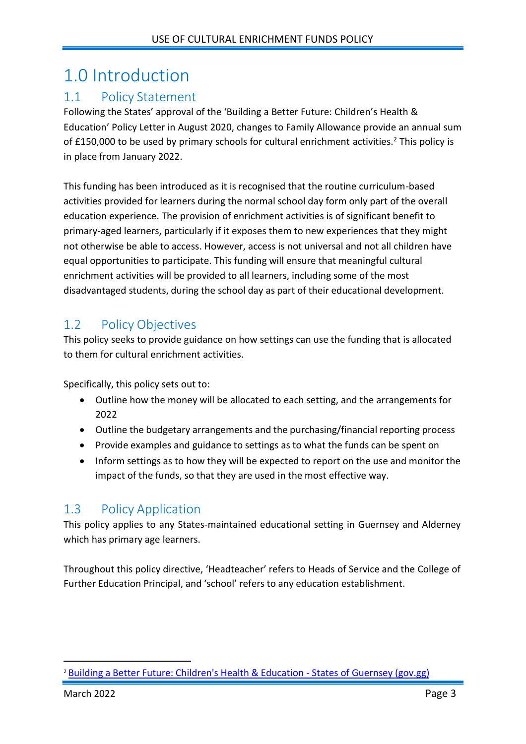# <span id="page-2-0"></span>1.0 Introduction

### <span id="page-2-1"></span>1.1 Policy Statement

Following the States' approval of the 'Building a Better Future: Children's Health & Education' Policy Letter in August 2020, changes to Family Allowance provide an annual sum of £150,000 to be used by primary schools for cultural enrichment activities.<sup>2</sup> This policy is in place from January 2022.

This funding has been introduced as it is recognised that the routine curriculum-based activities provided for learners during the normal school day form only part of the overall education experience. The provision of enrichment activities is of significant benefit to primary-aged learners, particularly if it exposes them to new experiences that they might not otherwise be able to access. However, access is not universal and not all children have equal opportunities to participate. This funding will ensure that meaningful cultural enrichment activities will be provided to all learners, including some of the most disadvantaged students, during the school day as part of their educational development.

## <span id="page-2-2"></span>1.2 Policy Objectives

This policy seeks to provide guidance on how settings can use the funding that is allocated to them for cultural enrichment activities.

Specifically, this policy sets out to:

- Outline how the money will be allocated to each setting, and the arrangements for 2022
- Outline the budgetary arrangements and the purchasing/financial reporting process
- Provide examples and guidance to settings as to what the funds can be spent on
- Inform settings as to how they will be expected to report on the use and monitor the impact of the funds, so that they are used in the most effective way.

### <span id="page-2-3"></span>1.3 Policy Application

This policy applies to any States-maintained educational setting in Guernsey and Alderney which has primary age learners.

Throughout this policy directive, 'Headteacher' refers to Heads of Service and the College of Further Education Principal, and 'school' refers to any education establishment.

<sup>&</sup>lt;sup>2</sup> Building a Better Future: Children's Health & [Education](https://gov.gg/article/177825/Building-a-Better-Future-Childrens-Health--Education) - States of Guernsey (gov.gg)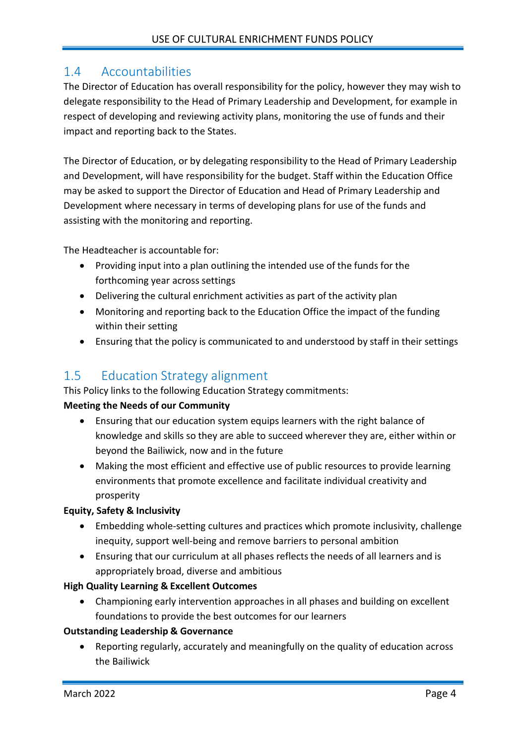### <span id="page-3-0"></span>1.4 Accountabilities

The Director of Education has overall responsibility for the policy, however they may wish to delegate responsibility to the Head of Primary Leadership and Development, for example in respect of developing and reviewing activity plans, monitoring the use of funds and their impact and reporting back to the States.

The Director of Education, or by delegating responsibility to the Head of Primary Leadership and Development, will have responsibility for the budget. Staff within the Education Office may be asked to support the Director of Education and Head of Primary Leadership and Development where necessary in terms of developing plans for use of the funds and assisting with the monitoring and reporting.

The Headteacher is accountable for:

- Providing input into a plan outlining the intended use of the funds for the forthcoming year across settings
- Delivering the cultural enrichment activities as part of the activity plan
- Monitoring and reporting back to the Education Office the impact of the funding within their setting
- Ensuring that the policy is communicated to and understood by staff in their settings

### <span id="page-3-1"></span>1.5 Education Strategy alignment

This Policy links to the following Education Strategy commitments:

#### **Meeting the Needs of our Community**

- Ensuring that our education system equips learners with the right balance of knowledge and skills so they are able to succeed wherever they are, either within or beyond the Bailiwick, now and in the future
- Making the most efficient and effective use of public resources to provide learning environments that promote excellence and facilitate individual creativity and prosperity

#### **Equity, Safety & Inclusivity**

- Embedding whole-setting cultures and practices which promote inclusivity, challenge inequity, support well-being and remove barriers to personal ambition
- Ensuring that our curriculum at all phases reflects the needs of all learners and is appropriately broad, diverse and ambitious

### **High Quality Learning & Excellent Outcomes**

• Championing early intervention approaches in all phases and building on excellent foundations to provide the best outcomes for our learners

#### **Outstanding Leadership & Governance**

• Reporting regularly, accurately and meaningfully on the quality of education across the Bailiwick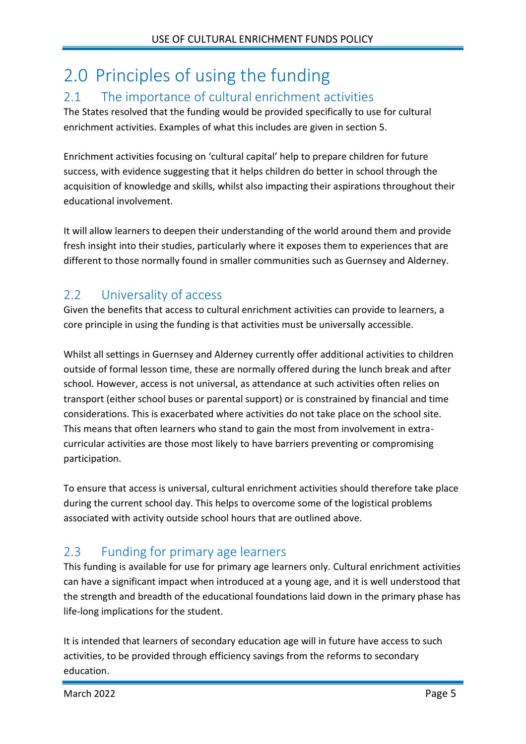# <span id="page-4-0"></span>2.0 Principles of using the funding

### <span id="page-4-1"></span>2.1 The importance of cultural enrichment activities

The States resolved that the funding would be provided specifically to use for cultural enrichment activities. Examples of what this includes are given in section 5.

Enrichment activities focusing on 'cultural capital' help to prepare children for future success, with evidence suggesting that it helps children do better in school through the acquisition of knowledge and skills, whilst also impacting their aspirations throughout their educational involvement.

It will allow learners to deepen their understanding of the world around them and provide fresh insight into their studies, particularly where it exposes them to experiences that are different to those normally found in smaller communities such as Guernsey and Alderney.

## <span id="page-4-2"></span>2.2 Universality of access

Given the benefits that access to cultural enrichment activities can provide to learners, a core principle in using the funding is that activities must be universally accessible.

Whilst all settings in Guernsey and Alderney currently offer additional activities to children outside of formal lesson time, these are normally offered during the lunch break and after school. However, access is not universal, as attendance at such activities often relies on transport (either school buses or parental support) or is constrained by financial and time considerations. This is exacerbated where activities do not take place on the school site. This means that often learners who stand to gain the most from involvement in extracurricular activities are those most likely to have barriers preventing or compromising participation.

To ensure that access is universal, cultural enrichment activities should therefore take place during the current school day. This helps to overcome some of the logistical problems associated with activity outside school hours that are outlined above.

## <span id="page-4-3"></span>2.3 Funding for primary age learners

This funding is available for use for primary age learners only. Cultural enrichment activities can have a significant impact when introduced at a young age, and it is well understood that the strength and breadth of the educational foundations laid down in the primary phase has life-long implications for the student.

It is intended that learners of secondary education age will in future have access to such activities, to be provided through efficiency savings from the reforms to secondary education.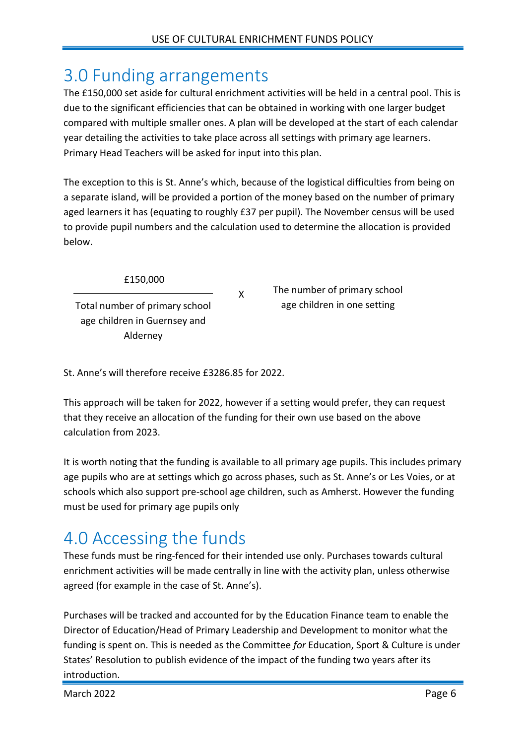# <span id="page-5-0"></span>3.0 Funding arrangements

The £150,000 set aside for cultural enrichment activities will be held in a central pool. This is due to the significant efficiencies that can be obtained in working with one larger budget compared with multiple smaller ones. A plan will be developed at the start of each calendar year detailing the activities to take place across all settings with primary age learners. Primary Head Teachers will be asked for input into this plan.

The exception to this is St. Anne's which, because of the logistical difficulties from being on a separate island, will be provided a portion of the money based on the number of primary aged learners it has (equating to roughly £37 per pupil). The November census will be used to provide pupil numbers and the calculation used to determine the allocation is provided below.

X

£150,000

Total number of primary school age children in Guernsey and Alderney

The number of primary school age children in one setting

St. Anne's will therefore receive £3286.85 for 2022.

This approach will be taken for 2022, however if a setting would prefer, they can request that they receive an allocation of the funding for their own use based on the above calculation from 2023.

It is worth noting that the funding is available to all primary age pupils. This includes primary age pupils who are at settings which go across phases, such as St. Anne's or Les Voies, or at schools which also support pre-school age children, such as Amherst. However the funding must be used for primary age pupils only

# <span id="page-5-1"></span>4.0 Accessing the funds

These funds must be ring-fenced for their intended use only. Purchases towards cultural enrichment activities will be made centrally in line with the activity plan, unless otherwise agreed (for example in the case of St. Anne's).

Purchases will be tracked and accounted for by the Education Finance team to enable the Director of Education/Head of Primary Leadership and Development to monitor what the funding is spent on. This is needed as the Committee *for* Education, Sport & Culture is under States' Resolution to publish evidence of the impact of the funding two years after its introduction.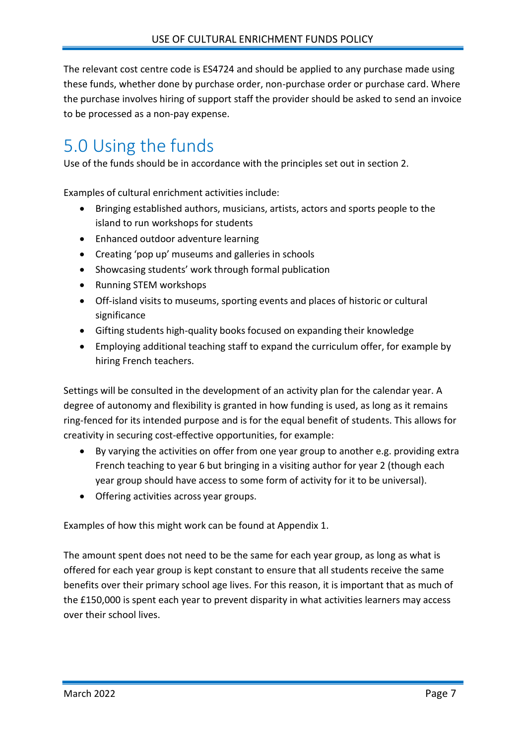The relevant cost centre code is ES4724 and should be applied to any purchase made using these funds, whether done by purchase order, non-purchase order or purchase card. Where the purchase involves hiring of support staff the provider should be asked to send an invoice to be processed as a non-pay expense.

# <span id="page-6-0"></span>5.0 Using the funds

Use of the funds should be in accordance with the principles set out in section 2.

Examples of cultural enrichment activities include:

- Bringing established authors, musicians, artists, actors and sports people to the island to run workshops for students
- Enhanced outdoor adventure learning
- Creating 'pop up' museums and galleries in schools
- Showcasing students' work through formal publication
- Running STEM workshops
- Off-island visits to museums, sporting events and places of historic or cultural significance
- Gifting students high-quality books focused on expanding their knowledge
- Employing additional teaching staff to expand the curriculum offer, for example by hiring French teachers.

Settings will be consulted in the development of an activity plan for the calendar year. A degree of autonomy and flexibility is granted in how funding is used, as long as it remains ring-fenced for its intended purpose and is for the equal benefit of students. This allows for creativity in securing cost-effective opportunities, for example:

- By varying the activities on offer from one year group to another e.g. providing extra French teaching to year 6 but bringing in a visiting author for year 2 (though each year group should have access to some form of activity for it to be universal).
- Offering activities across year groups.

Examples of how this might work can be found at Appendix 1.

The amount spent does not need to be the same for each year group, as long as what is offered for each year group is kept constant to ensure that all students receive the same benefits over their primary school age lives. For this reason, it is important that as much of the £150,000 is spent each year to prevent disparity in what activities learners may access over their school lives.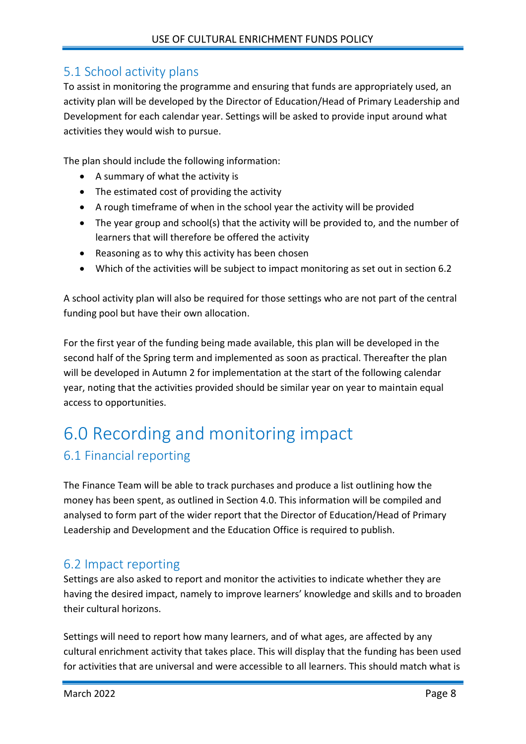### <span id="page-7-0"></span>5.1 School activity plans

To assist in monitoring the programme and ensuring that funds are appropriately used, an activity plan will be developed by the Director of Education/Head of Primary Leadership and Development for each calendar year. Settings will be asked to provide input around what activities they would wish to pursue.

The plan should include the following information:

- A summary of what the activity is
- The estimated cost of providing the activity
- A rough timeframe of when in the school year the activity will be provided
- The year group and school(s) that the activity will be provided to, and the number of learners that will therefore be offered the activity
- Reasoning as to why this activity has been chosen
- Which of the activities will be subject to impact monitoring as set out in section 6.2

A school activity plan will also be required for those settings who are not part of the central funding pool but have their own allocation.

For the first year of the funding being made available, this plan will be developed in the second half of the Spring term and implemented as soon as practical. Thereafter the plan will be developed in Autumn 2 for implementation at the start of the following calendar year, noting that the activities provided should be similar year on year to maintain equal access to opportunities.

# <span id="page-7-2"></span><span id="page-7-1"></span>6.0 Recording and monitoring impact 6.1 Financial reporting

The Finance Team will be able to track purchases and produce a list outlining how the money has been spent, as outlined in Section 4.0. This information will be compiled and analysed to form part of the wider report that the Director of Education/Head of Primary Leadership and Development and the Education Office is required to publish.

### <span id="page-7-3"></span>6.2 Impact reporting

Settings are also asked to report and monitor the activities to indicate whether they are having the desired impact, namely to improve learners' knowledge and skills and to broaden their cultural horizons.

Settings will need to report how many learners, and of what ages, are affected by any cultural enrichment activity that takes place. This will display that the funding has been used for activities that are universal and were accessible to all learners. This should match what is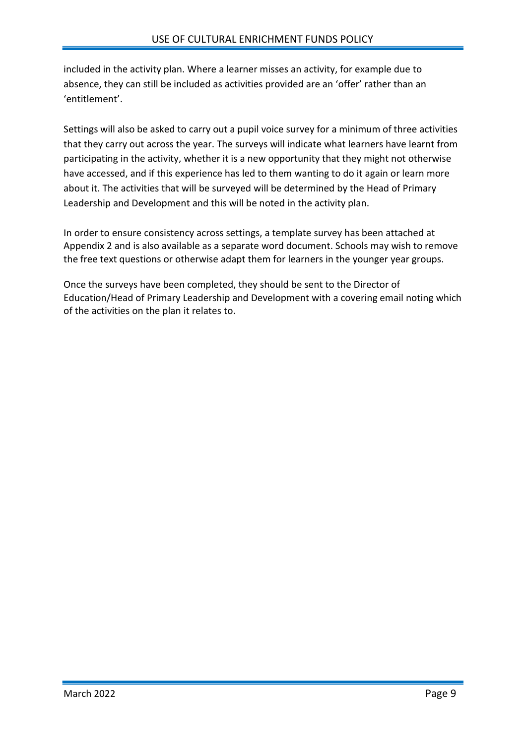included in the activity plan. Where a learner misses an activity, for example due to absence, they can still be included as activities provided are an 'offer' rather than an 'entitlement'.

Settings will also be asked to carry out a pupil voice survey for a minimum of three activities that they carry out across the year. The surveys will indicate what learners have learnt from participating in the activity, whether it is a new opportunity that they might not otherwise have accessed, and if this experience has led to them wanting to do it again or learn more about it. The activities that will be surveyed will be determined by the Head of Primary Leadership and Development and this will be noted in the activity plan.

In order to ensure consistency across settings, a template survey has been attached at Appendix 2 and is also available as a separate word document. Schools may wish to remove the free text questions or otherwise adapt them for learners in the younger year groups.

Once the surveys have been completed, they should be sent to the Director of Education/Head of Primary Leadership and Development with a covering email noting which of the activities on the plan it relates to.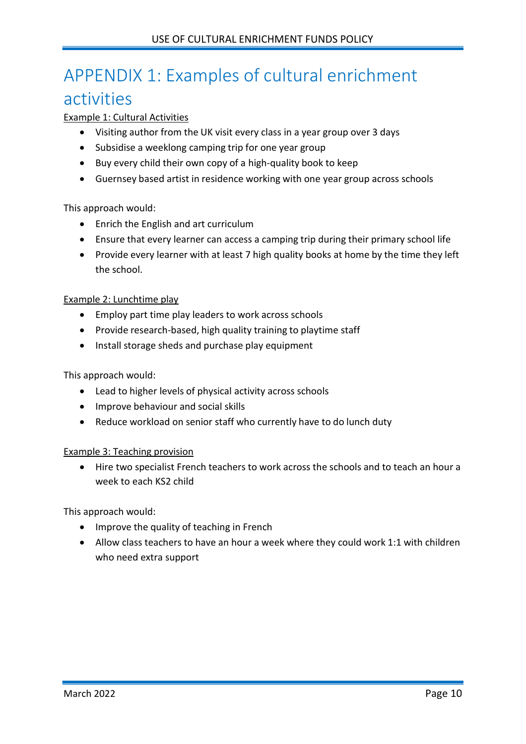# <span id="page-9-0"></span>APPENDIX 1: Examples of cultural enrichment

# activities

#### Example 1: Cultural Activities

- Visiting author from the UK visit every class in a year group over 3 days
- Subsidise a weeklong camping trip for one year group
- Buy every child their own copy of a high-quality book to keep
- Guernsey based artist in residence working with one year group across schools

#### This approach would:

- Enrich the English and art curriculum
- Ensure that every learner can access a camping trip during their primary school life
- Provide every learner with at least 7 high quality books at home by the time they left the school.

#### Example 2: Lunchtime play

- Employ part time play leaders to work across schools
- Provide research-based, high quality training to playtime staff
- Install storage sheds and purchase play equipment

#### This approach would:

- Lead to higher levels of physical activity across schools
- Improve behaviour and social skills
- Reduce workload on senior staff who currently have to do lunch duty

#### Example 3: Teaching provision

• Hire two specialist French teachers to work across the schools and to teach an hour a week to each KS2 child

This approach would:

- Improve the quality of teaching in French
- Allow class teachers to have an hour a week where they could work 1:1 with children who need extra support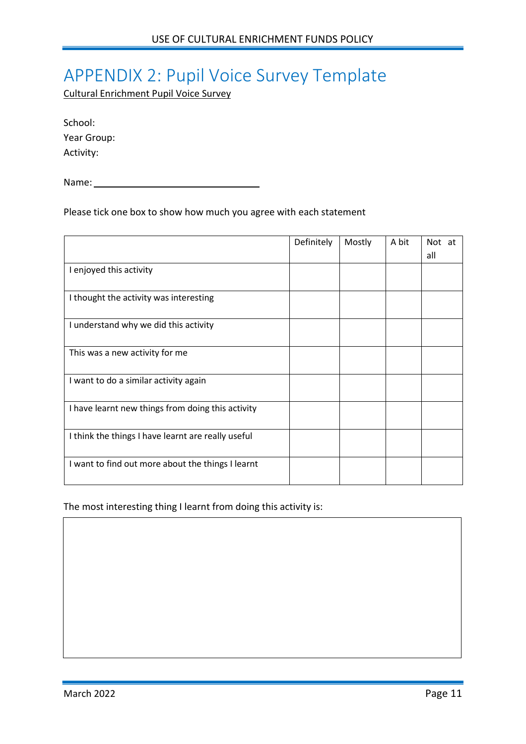# <span id="page-10-0"></span>APPENDIX 2: Pupil Voice Survey Template

Cultural Enrichment Pupil Voice Survey

| School:     |
|-------------|
| Year Group: |
| Activity:   |

Name: Name and Allen and Allen and Allen and Allen and Allen and Allen and Allen and Allen and Allen and Allen

Please tick one box to show how much you agree with each statement

|                                                    | Definitely | Mostly | A bit | Not at<br>all |
|----------------------------------------------------|------------|--------|-------|---------------|
| I enjoyed this activity                            |            |        |       |               |
| I thought the activity was interesting             |            |        |       |               |
| I understand why we did this activity              |            |        |       |               |
| This was a new activity for me                     |            |        |       |               |
|                                                    |            |        |       |               |
| I want to do a similar activity again              |            |        |       |               |
| I have learnt new things from doing this activity  |            |        |       |               |
| I think the things I have learnt are really useful |            |        |       |               |
| I want to find out more about the things I learnt  |            |        |       |               |

The most interesting thing I learnt from doing this activity is: